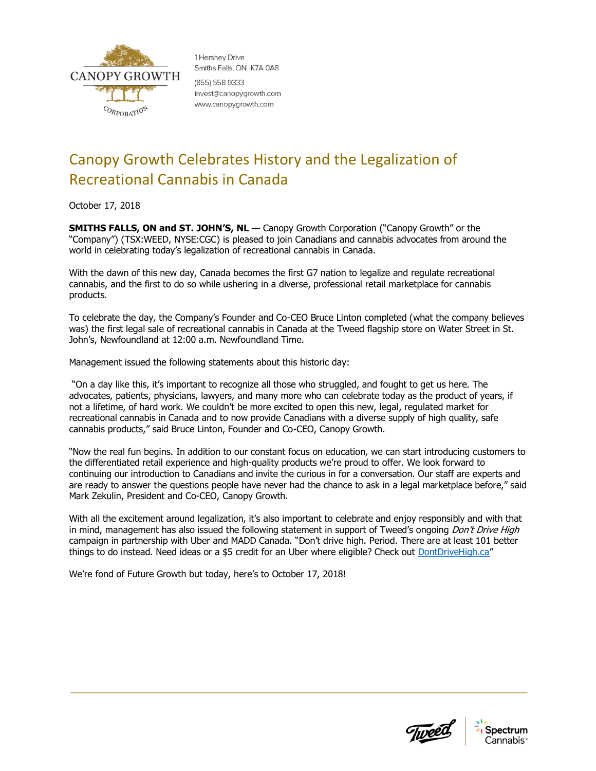

1 Hershey Drive Smiths Falls, ON K7A 0A8 (855) 558 9333 invest@canopygrowth.com www.canopygrowth.com

## Canopy Growth Celebrates History and the Legalization of Recreational Cannabis in Canada

October 17, 2018

**SMITHS FALLS, ON and ST. JOHN'S, NL** — Canopy Growth Corporation ("Canopy Growth" or the "Company") (TSX:WEED, NYSE:CGC) is pleased to join Canadians and cannabis advocates from around the world in celebrating today's legalization of recreational cannabis in Canada.

With the dawn of this new day, Canada becomes the first G7 nation to legalize and regulate recreational cannabis, and the first to do so while ushering in a diverse, professional retail marketplace for cannabis products.

To celebrate the day, the Company's Founder and Co-CEO Bruce Linton completed (what the company believes was) the first legal sale of recreational cannabis in Canada at the Tweed flagship store on Water Street in St. John's, Newfoundland at 12:00 a.m. Newfoundland Time.

Management issued the following statements about this historic day:

"On a day like this, it's important to recognize all those who struggled, and fought to get us here. The advocates, patients, physicians, lawyers, and many more who can celebrate today as the product of years, if not a lifetime, of hard work. We couldn't be more excited to open this new, legal, regulated market for recreational cannabis in Canada and to now provide Canadians with a diverse supply of high quality, safe cannabis products," said Bruce Linton, Founder and Co-CEO, Canopy Growth.

"Now the real fun begins. In addition to our constant focus on education, we can start introducing customers to the differentiated retail experience and high-quality products we're proud to offer. We look forward to continuing our introduction to Canadians and invite the curious in for a conversation. Our staff are experts and are ready to answer the questions people have never had the chance to ask in a legal marketplace before," said Mark Zekulin, President and Co-CEO, Canopy Growth.

With all the excitement around legalization, it's also important to celebrate and enjoy responsibly and with that in mind, management has also issued the following statement in support of Tweed's ongoing *Don't Drive High* campaign in partnership with Uber and MADD Canada. "Don't drive high. Period. There are at least 101 better things to do instead. Need ideas or a \$5 credit for an Uber where eligible? Check out [DontDriveHigh.ca](https://www.dontdrivehigh.ca/)"

We're fond of Future Growth but today, here's to October 17, 2018!